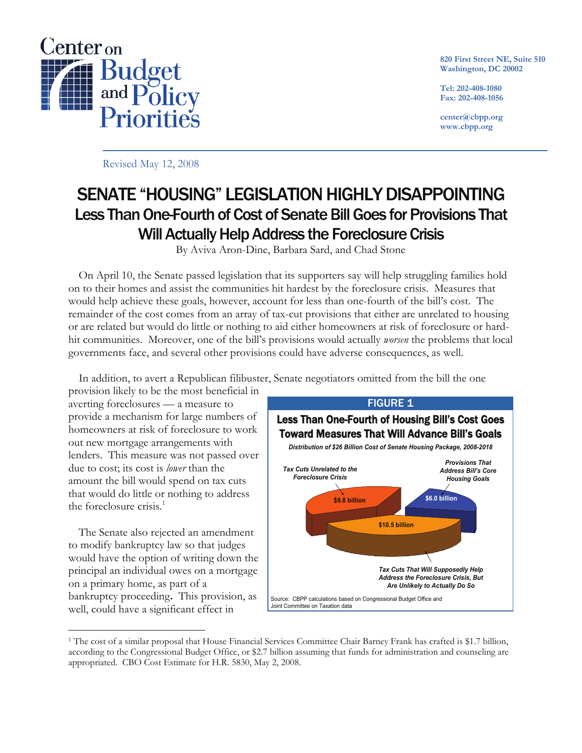

**820 First Street NE, Suite 510 Washington, DC 20002** 

**Tel: 202-408-1080 Fax: 202-408-1056** 

**center@cbpp.org www.cbpp.org** 

Revised May 12, 2008

# SENATE "HOUSING" LEGISLATION HIGHLY DISAPPOINTING Less Than One-Fourth of Cost of Senate Bill Goes for Provisions That Will Actually Help Address the Foreclosure Crisis

By Aviva Aron-Dine, Barbara Sard, and Chad Stone

 On April 10, the Senate passed legislation that its supporters say will help struggling families hold on to their homes and assist the communities hit hardest by the foreclosure crisis. Measures that would help achieve these goals, however, account for less than one-fourth of the bill's cost. The remainder of the cost comes from an array of tax-cut provisions that either are unrelated to housing or are related but would do little or nothing to aid either homeowners at risk of foreclosure or hardhit communities. Moreover, one of the bill's provisions would actually *worsen* the problems that local governments face, and several other provisions could have adverse consequences, as well.

In addition, to avert a Republican filibuster, Senate negotiators omitted from the bill the one

provision likely to be the most beneficial in averting foreclosures — a measure to provide a mechanism for large numbers of homeowners at risk of foreclosure to work out new mortgage arrangements with lenders. This measure was not passed over due to cost; its cost is *lower* than the amount the bill would spend on tax cuts that would do little or nothing to address the foreclosure crisis.<sup>1</sup>

 The Senate also rejected an amendment to modify bankruptcy law so that judges would have the option of writing down the principal an individual owes on a mortgage on a primary home, as part of a bankruptcy proceeding**.** This provision, as well, could have a significant effect in



<sup>1</sup> The cost of a similar proposal that House Financial Services Committee Chair Barney Frank has crafted is \$1.7 billion, according to the Congressional Budget Office, or \$2.7 billion assuming that funds for administration and counseling are appropriated. CBO Cost Estimate for H.R. 5830, May 2, 2008.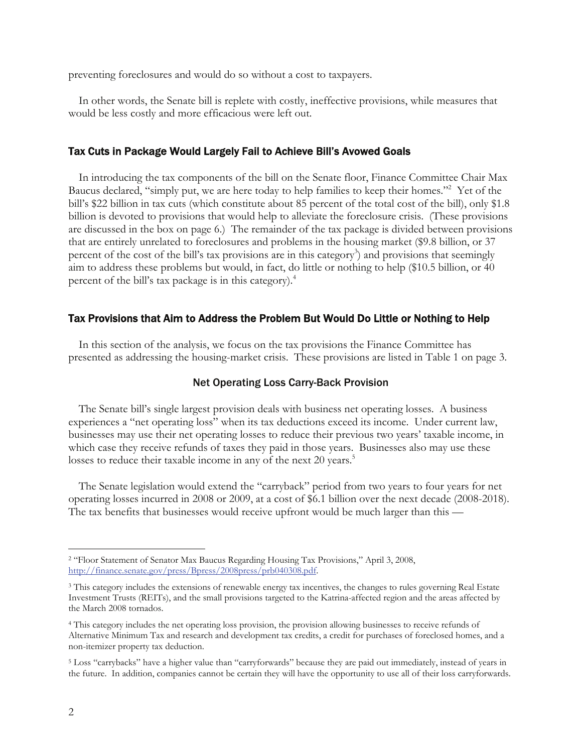preventing foreclosures and would do so without a cost to taxpayers.

 In other words, the Senate bill is replete with costly, ineffective provisions, while measures that would be less costly and more efficacious were left out.

# Tax Cuts in Package Would Largely Fail to Achieve Bill's Avowed Goals

 In introducing the tax components of the bill on the Senate floor, Finance Committee Chair Max Baucus declared, "simply put, we are here today to help families to keep their homes."<sup>2</sup> Yet of the bill's \$22 billion in tax cuts (which constitute about 85 percent of the total cost of the bill), only \$1.8 billion is devoted to provisions that would help to alleviate the foreclosure crisis. (These provisions are discussed in the box on page 6.) The remainder of the tax package is divided between provisions that are entirely unrelated to foreclosures and problems in the housing market (\$9.8 billion, or 37 percent of the cost of the bill's tax provisions are in this category<sup>3</sup>) and provisions that seemingly aim to address these problems but would, in fact, do little or nothing to help (\$10.5 billion, or 40 percent of the bill's tax package is in this category).<sup>4</sup>

#### Tax Provisions that Aim to Address the Problem But Would Do Little or Nothing to Help

 In this section of the analysis, we focus on the tax provisions the Finance Committee has presented as addressing the housing-market crisis. These provisions are listed in Table 1 on page 3.

## Net Operating Loss Carry-Back Provision

 The Senate bill's single largest provision deals with business net operating losses. A business experiences a "net operating loss" when its tax deductions exceed its income. Under current law, businesses may use their net operating losses to reduce their previous two years' taxable income, in which case they receive refunds of taxes they paid in those years. Businesses also may use these losses to reduce their taxable income in any of the next 20 years.<sup>5</sup>

 The Senate legislation would extend the "carryback" period from two years to four years for net operating losses incurred in 2008 or 2009, at a cost of \$6.1 billion over the next decade (2008-2018). The tax benefits that businesses would receive upfront would be much larger than this —

<sup>2 &</sup>quot;Floor Statement of Senator Max Baucus Regarding Housing Tax Provisions," April 3, 2008, http://finance.senate.gov/press/Bpress/2008press/prb040308.pdf.

<sup>&</sup>lt;sup>3</sup> This category includes the extensions of renewable energy tax incentives, the changes to rules governing Real Estate Investment Trusts (REITs), and the small provisions targeted to the Katrina-affected region and the areas affected by the March 2008 tornados.

<sup>4</sup> This category includes the net operating loss provision, the provision allowing businesses to receive refunds of Alternative Minimum Tax and research and development tax credits, a credit for purchases of foreclosed homes, and a non-itemizer property tax deduction.

<sup>5</sup> Loss "carrybacks" have a higher value than "carryforwards" because they are paid out immediately, instead of years in the future. In addition, companies cannot be certain they will have the opportunity to use all of their loss carryforwards.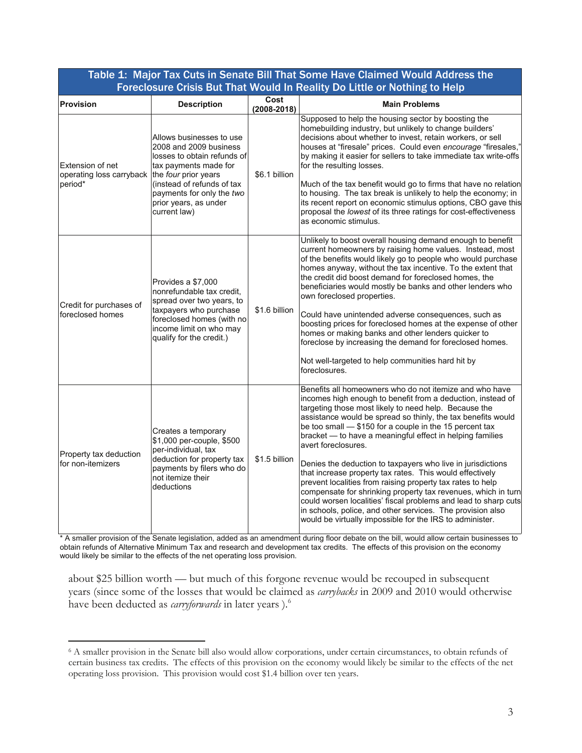| Foreclosure Crisis But That Would In Reality Do Little or Nothing to Help    |                                                                                                                                                                                                                |                         |                                                                                                                                                                                                                                                                                                                                                                                                                                                                                                                                                                                                                                                                                                                                                                                                                                                       |
|------------------------------------------------------------------------------|----------------------------------------------------------------------------------------------------------------------------------------------------------------------------------------------------------------|-------------------------|-------------------------------------------------------------------------------------------------------------------------------------------------------------------------------------------------------------------------------------------------------------------------------------------------------------------------------------------------------------------------------------------------------------------------------------------------------------------------------------------------------------------------------------------------------------------------------------------------------------------------------------------------------------------------------------------------------------------------------------------------------------------------------------------------------------------------------------------------------|
| <b>Provision</b>                                                             | <b>Description</b>                                                                                                                                                                                             | Cost<br>$(2008 - 2018)$ | <b>Main Problems</b>                                                                                                                                                                                                                                                                                                                                                                                                                                                                                                                                                                                                                                                                                                                                                                                                                                  |
| Extension of net<br>operating loss carryback the four prior years<br>period* | Allows businesses to use<br>2008 and 2009 business<br>losses to obtain refunds of<br>tax payments made for<br>(instead of refunds of tax<br>payments for only the two<br>prior years, as under<br>current law) | \$6.1 billion           | Supposed to help the housing sector by boosting the<br>homebuilding industry, but unlikely to change builders'<br>decisions about whether to invest, retain workers, or sell<br>houses at "firesale" prices. Could even encourage "firesales,"<br>by making it easier for sellers to take immediate tax write-offs<br>for the resulting losses.<br>Much of the tax benefit would go to firms that have no relation<br>to housing. The tax break is unlikely to help the economy; in<br>its recent report on economic stimulus options, CBO gave this<br>proposal the lowest of its three ratings for cost-effectiveness<br>as economic stimulus.                                                                                                                                                                                                      |
| Credit for purchases of<br>foreclosed homes                                  | Provides a \$7,000<br>nonrefundable tax credit,<br>spread over two years, to<br>taxpayers who purchase<br>foreclosed homes (with no<br>income limit on who may<br>qualify for the credit.)                     | \$1.6 billion           | Unlikely to boost overall housing demand enough to benefit<br>current homeowners by raising home values. Instead, most<br>of the benefits would likely go to people who would purchase<br>homes anyway, without the tax incentive. To the extent that<br>the credit did boost demand for foreclosed homes, the<br>beneficiaries would mostly be banks and other lenders who<br>own foreclosed properties.<br>Could have unintended adverse consequences, such as<br>boosting prices for foreclosed homes at the expense of other<br>homes or making banks and other lenders quicker to<br>foreclose by increasing the demand for foreclosed homes.<br>Not well-targeted to help communities hard hit by<br>foreclosures.                                                                                                                              |
| Property tax deduction<br>for non-itemizers                                  | Creates a temporary<br>\$1,000 per-couple, \$500<br>per-individual, tax<br>deduction for property tax<br>payments by filers who do<br>not itemize their<br>deductions                                          | \$1.5 billion           | Benefits all homeowners who do not itemize and who have<br>incomes high enough to benefit from a deduction, instead of<br>targeting those most likely to need help. Because the<br>assistance would be spread so thinly, the tax benefits would<br>be too small - \$150 for a couple in the 15 percent tax<br>bracket - to have a meaningful effect in helping families<br>avert foreclosures.<br>Denies the deduction to taxpayers who live in jurisdictions<br>that increase property tax rates. This would effectively<br>prevent localities from raising property tax rates to help<br>compensate for shrinking property tax revenues, which in turn<br>could worsen localities' fiscal problems and lead to sharp cuts<br>in schools, police, and other services. The provision also<br>would be virtually impossible for the IRS to administer. |

Table 1: Major Tax Cuts in Senate Bill That Some Have Claimed Would Address the

\* A smaller provision of the Senate legislation, added as an amendment during floor debate on the bill, would allow certain businesses to obtain refunds of Alternative Minimum Tax and research and development tax credits. The effects of this provision on the economy would likely be similar to the effects of the net operating loss provision.

about \$25 billion worth — but much of this forgone revenue would be recouped in subsequent years (since some of the losses that would be claimed as *carrybacks* in 2009 and 2010 would otherwise have been deducted as *carryforwards* in later years ).6

<sup>6</sup> A smaller provision in the Senate bill also would allow corporations, under certain circumstances, to obtain refunds of certain business tax credits. The effects of this provision on the economy would likely be similar to the effects of the net operating loss provision. This provision would cost \$1.4 billion over ten years.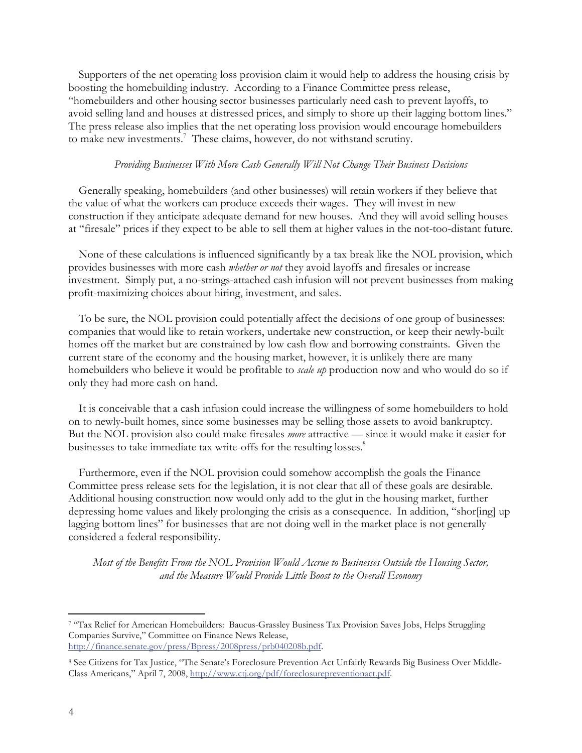Supporters of the net operating loss provision claim it would help to address the housing crisis by boosting the homebuilding industry. According to a Finance Committee press release, "homebuilders and other housing sector businesses particularly need cash to prevent layoffs, to avoid selling land and houses at distressed prices, and simply to shore up their lagging bottom lines." The press release also implies that the net operating loss provision would encourage homebuilders to make new investments.<sup>7</sup> These claims, however, do not withstand scrutiny.

# *Providing Businesses With More Cash Generally Will Not Change Their Business Decisions*

 Generally speaking, homebuilders (and other businesses) will retain workers if they believe that the value of what the workers can produce exceeds their wages. They will invest in new construction if they anticipate adequate demand for new houses. And they will avoid selling houses at "firesale" prices if they expect to be able to sell them at higher values in the not-too-distant future.

 None of these calculations is influenced significantly by a tax break like the NOL provision, which provides businesses with more cash *whether or not* they avoid layoffs and firesales or increase investment. Simply put, a no-strings-attached cash infusion will not prevent businesses from making profit-maximizing choices about hiring, investment, and sales.

 To be sure, the NOL provision could potentially affect the decisions of one group of businesses: companies that would like to retain workers, undertake new construction, or keep their newly-built homes off the market but are constrained by low cash flow and borrowing constraints. Given the current stare of the economy and the housing market, however, it is unlikely there are many homebuilders who believe it would be profitable to *scale up* production now and who would do so if only they had more cash on hand.

 It is conceivable that a cash infusion could increase the willingness of some homebuilders to hold on to newly-built homes, since some businesses may be selling those assets to avoid bankruptcy. But the NOL provision also could make firesales *more* attractive — since it would make it easier for businesses to take immediate tax write-offs for the resulting losses.<sup>8</sup>

 Furthermore, even if the NOL provision could somehow accomplish the goals the Finance Committee press release sets for the legislation, it is not clear that all of these goals are desirable. Additional housing construction now would only add to the glut in the housing market, further depressing home values and likely prolonging the crisis as a consequence. In addition, "shor[ing] up lagging bottom lines" for businesses that are not doing well in the market place is not generally considered a federal responsibility.

*Most of the Benefits From the NOL Provision Would Accrue to Businesses Outside the Housing Sector, and the Measure Would Provide Little Boost to the Overall Economy*

<sup>7 &</sup>quot;Tax Relief for American Homebuilders: Baucus-Grassley Business Tax Provision Saves Jobs, Helps Struggling Companies Survive," Committee on Finance News Release, http://finance.senate.gov/press/Bpress/2008press/prb040208b.pdf.

<sup>8</sup> See Citizens for Tax Justice, "The Senate's Foreclosure Prevention Act Unfairly Rewards Big Business Over Middle-Class Americans," April 7, 2008, http://www.ctj.org/pdf/foreclosurepreventionact.pdf.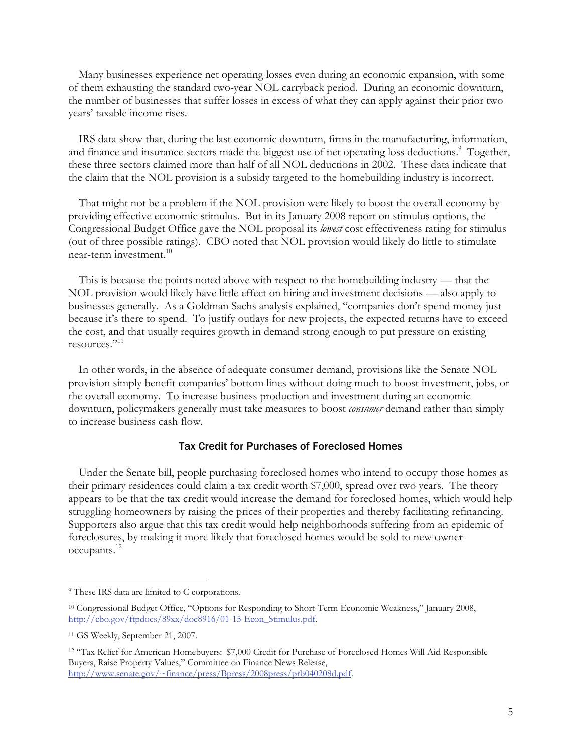Many businesses experience net operating losses even during an economic expansion, with some of them exhausting the standard two-year NOL carryback period. During an economic downturn, the number of businesses that suffer losses in excess of what they can apply against their prior two years' taxable income rises.

 IRS data show that, during the last economic downturn, firms in the manufacturing, information, and finance and insurance sectors made the biggest use of net operating loss deductions.<sup>9</sup> Together, these three sectors claimed more than half of all NOL deductions in 2002. These data indicate that the claim that the NOL provision is a subsidy targeted to the homebuilding industry is incorrect.

 That might not be a problem if the NOL provision were likely to boost the overall economy by providing effective economic stimulus. But in its January 2008 report on stimulus options, the Congressional Budget Office gave the NOL proposal its *lowest* cost effectiveness rating for stimulus (out of three possible ratings). CBO noted that NOL provision would likely do little to stimulate near-term investment.10

This is because the points noted above with respect to the homebuilding industry — that the NOL provision would likely have little effect on hiring and investment decisions — also apply to businesses generally. As a Goldman Sachs analysis explained, "companies don't spend money just because it's there to spend. To justify outlays for new projects, the expected returns have to exceed the cost, and that usually requires growth in demand strong enough to put pressure on existing resources."11

In other words, in the absence of adequate consumer demand, provisions like the Senate NOL provision simply benefit companies' bottom lines without doing much to boost investment, jobs, or the overall economy. To increase business production and investment during an economic downturn, policymakers generally must take measures to boost *consumer* demand rather than simply to increase business cash flow.

# Tax Credit for Purchases of Foreclosed Homes

Under the Senate bill, people purchasing foreclosed homes who intend to occupy those homes as their primary residences could claim a tax credit worth \$7,000, spread over two years. The theory appears to be that the tax credit would increase the demand for foreclosed homes, which would help struggling homeowners by raising the prices of their properties and thereby facilitating refinancing. Supporters also argue that this tax credit would help neighborhoods suffering from an epidemic of foreclosures, by making it more likely that foreclosed homes would be sold to new owneroccupants.12

<sup>&</sup>lt;sup>9</sup> These IRS data are limited to C corporations.

<sup>10</sup> Congressional Budget Office, "Options for Responding to Short-Term Economic Weakness," January 2008, http://cbo.gov/ftpdocs/89xx/doc8916/01-15-Econ\_Stimulus.pdf.

<sup>11</sup> GS Weekly, September 21, 2007.

<sup>12 &</sup>quot;Tax Relief for American Homebuyers: \$7,000 Credit for Purchase of Foreclosed Homes Will Aid Responsible Buyers, Raise Property Values," Committee on Finance News Release, http://www.senate.gov/~finance/press/Bpress/2008press/prb040208d.pdf.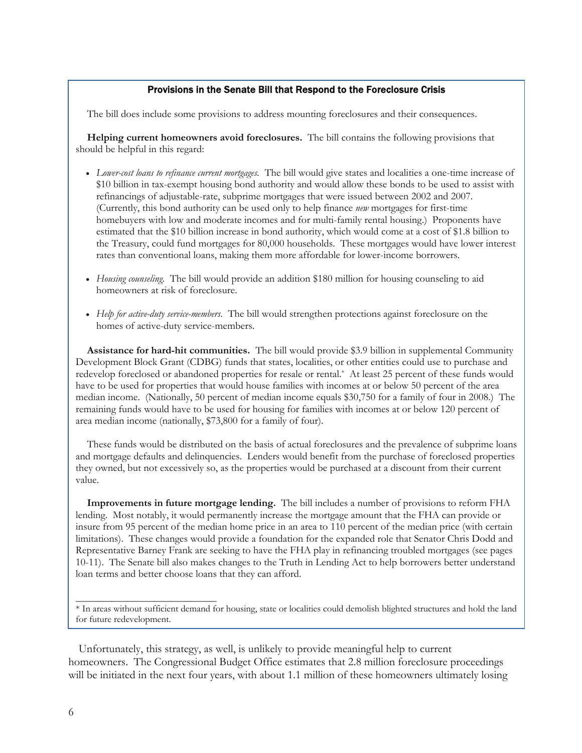## Provisions in the Senate Bill that Respond to the Foreclosure Crisis

The bill does include some provisions to address mounting foreclosures and their consequences.

**Helping current homeowners avoid foreclosures.** The bill contains the following provisions that should be helpful in this regard:

- *Lower-cost loans to refinance current mortgages.* The bill would give states and localities a one-time increase of \$10 billion in tax-exempt housing bond authority and would allow these bonds to be used to assist with refinancings of adjustable-rate, subprime mortgages that were issued between 2002 and 2007. (Currently, this bond authority can be used only to help finance *new* mortgages for first-time homebuyers with low and moderate incomes and for multi-family rental housing.) Proponents have estimated that the \$10 billion increase in bond authority, which would come at a cost of \$1.8 billion to the Treasury, could fund mortgages for 80,000 households. These mortgages would have lower interest rates than conventional loans, making them more affordable for lower-income borrowers.
- *Housing counseling.* The bill would provide an addition \$180 million for housing counseling to aid homeowners at risk of foreclosure.
- *Help for active-duty service-members.* The bill would strengthen protections against foreclosure on the homes of active-duty service-members.

**Assistance for hard-hit communities.** The bill would provide \$3.9 billion in supplemental Community Development Block Grant (CDBG) funds that states, localities, or other entities could use to purchase and redevelop foreclosed or abandoned properties for resale or rental.\* At least 25 percent of these funds would have to be used for properties that would house families with incomes at or below 50 percent of the area median income. (Nationally, 50 percent of median income equals \$30,750 for a family of four in 2008.) The remaining funds would have to be used for housing for families with incomes at or below 120 percent of area median income (nationally, \$73,800 for a family of four).

These funds would be distributed on the basis of actual foreclosures and the prevalence of subprime loans and mortgage defaults and delinquencies. Lenders would benefit from the purchase of foreclosed properties they owned, but not excessively so, as the properties would be purchased at a discount from their current value.

**Improvements in future mortgage lending.** The bill includes a number of provisions to reform FHA lending. Most notably, it would permanently increase the mortgage amount that the FHA can provide or insure from 95 percent of the median home price in an area to 110 percent of the median price (with certain limitations). These changes would provide a foundation for the expanded role that Senator Chris Dodd and Representative Barney Frank are seeking to have the FHA play in refinancing troubled mortgages (see pages 10-11). The Senate bill also makes changes to the Truth in Lending Act to help borrowers better understand loan terms and better choose loans that they can afford.

 Unfortunately, this strategy, as well, is unlikely to provide meaningful help to current homeowners. The Congressional Budget Office estimates that 2.8 million foreclosure proceedings will be initiated in the next four years, with about 1.1 million of these homeowners ultimately losing

\_\_\_\_\_\_\_\_\_\_\_\_\_\_\_\_\_\_\_\_\_\_\_\_\_\_\_

<sup>\*</sup> In areas without sufficient demand for housing, state or localities could demolish blighted structures and hold the land for future redevelopment.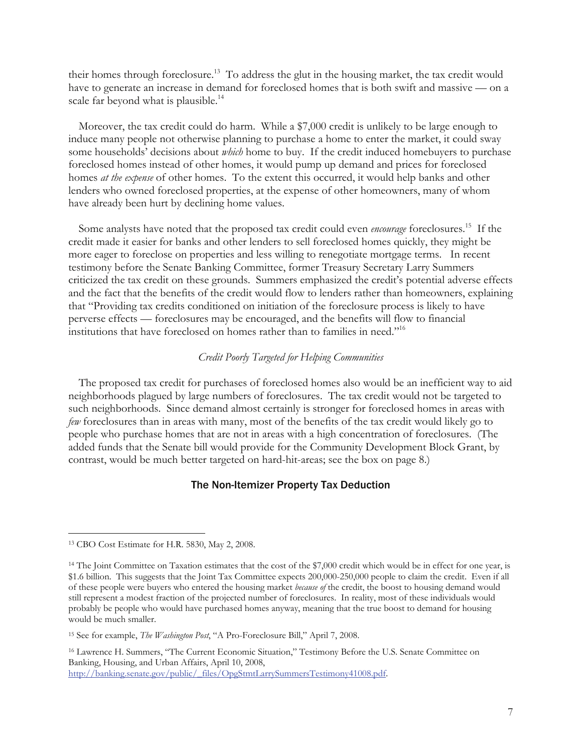their homes through foreclosure.<sup>13</sup> To address the glut in the housing market, the tax credit would have to generate an increase in demand for foreclosed homes that is both swift and massive — on a scale far beyond what is plausible.<sup>14</sup>

 Moreover, the tax credit could do harm. While a \$7,000 credit is unlikely to be large enough to induce many people not otherwise planning to purchase a home to enter the market, it could sway some households' decisions about *which* home to buy. If the credit induced homebuyers to purchase foreclosed homes instead of other homes, it would pump up demand and prices for foreclosed homes *at the expense* of other homes. To the extent this occurred, it would help banks and other lenders who owned foreclosed properties, at the expense of other homeowners, many of whom have already been hurt by declining home values.

Some analysts have noted that the proposed tax credit could even *encourage* foreclosures.<sup>15</sup> If the credit made it easier for banks and other lenders to sell foreclosed homes quickly, they might be more eager to foreclose on properties and less willing to renegotiate mortgage terms. In recent testimony before the Senate Banking Committee, former Treasury Secretary Larry Summers criticized the tax credit on these grounds. Summers emphasized the credit's potential adverse effects and the fact that the benefits of the credit would flow to lenders rather than homeowners, explaining that "Providing tax credits conditioned on initiation of the foreclosure process is likely to have perverse effects — foreclosures may be encouraged, and the benefits will flow to financial institutions that have foreclosed on homes rather than to families in need."16

# *Credit Poorly Targeted for Helping Communities*

 The proposed tax credit for purchases of foreclosed homes also would be an inefficient way to aid neighborhoods plagued by large numbers of foreclosures. The tax credit would not be targeted to such neighborhoods. Since demand almost certainly is stronger for foreclosed homes in areas with *few* foreclosures than in areas with many, most of the benefits of the tax credit would likely go to people who purchase homes that are not in areas with a high concentration of foreclosures. (The added funds that the Senate bill would provide for the Community Development Block Grant, by contrast, would be much better targeted on hard-hit-areas; see the box on page 8.)

# The Non-Itemizer Property Tax Deduction

 $\overline{a}$ 

16 Lawrence H. Summers, "The Current Economic Situation," Testimony Before the U.S. Senate Committee on Banking, Housing, and Urban Affairs, April 10, 2008, http://banking.senate.gov/public/\_files/OpgStmtLarrySummersTestimony41008.pdf.

<sup>13</sup> CBO Cost Estimate for H.R. 5830, May 2, 2008.

<sup>&</sup>lt;sup>14</sup> The Joint Committee on Taxation estimates that the cost of the \$7,000 credit which would be in effect for one year, is \$1.6 billion. This suggests that the Joint Tax Committee expects 200,000-250,000 people to claim the credit. Even if all of these people were buyers who entered the housing market *because of* the credit, the boost to housing demand would still represent a modest fraction of the projected number of foreclosures. In reality, most of these individuals would probably be people who would have purchased homes anyway, meaning that the true boost to demand for housing would be much smaller.

<sup>15</sup> See for example, *The Washington Post*, "A Pro-Foreclosure Bill," April 7, 2008.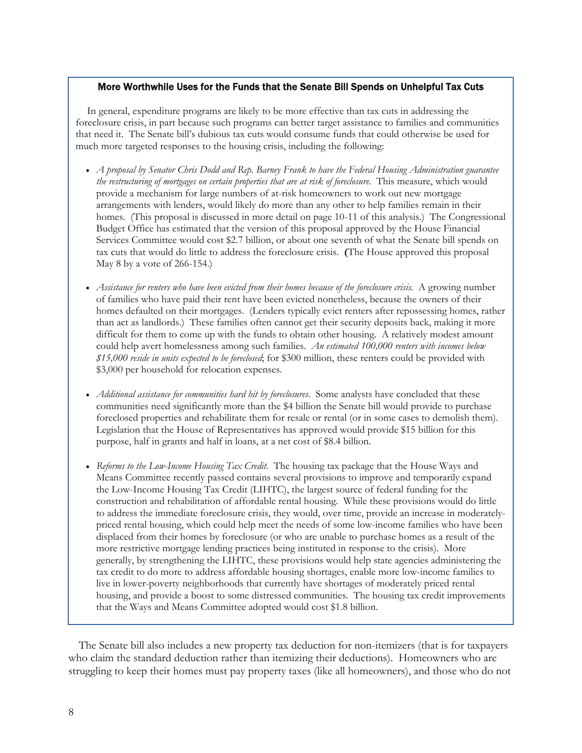## More Worthwhile Uses for the Funds that the Senate Bill Spends on Unhelpful Tax Cuts

In general, expenditure programs are likely to be more effective than tax cuts in addressing the foreclosure crisis, in part because such programs can better target assistance to families and communities that need it. The Senate bill's dubious tax cuts would consume funds that could otherwise be used for much more targeted responses to the housing crisis, including the following:

- *A proposal by Senator Chris Dodd and Rep. Barney Frank to have the Federal Housing Administration guarantee the restructuring of mortgages on certain properties that are at risk of foreclosure*. This measure, which would provide a mechanism for large numbers of at-risk homeowners to work out new mortgage arrangements with lenders, would likely do more than any other to help families remain in their homes. (This proposal is discussed in more detail on page 10-11 of this analysis.) The Congressional Budget Office has estimated that the version of this proposal approved by the House Financial Services Committee would cost \$2.7 billion, or about one seventh of what the Senate bill spends on tax cuts that would do little to address the foreclosure crisis. **(**The House approved this proposal May 8 by a vote of 266-154.)
- *Assistance for renters who have been evicted from their homes because of the foreclosure crisis*. A growing number of families who have paid their rent have been evicted nonetheless, because the owners of their homes defaulted on their mortgages. (Lenders typically evict renters after repossessing homes, rather than act as landlords.) These families often cannot get their security deposits back, making it more difficult for them to come up with the funds to obtain other housing. A relatively modest amount could help avert homelessness among such families. *An estimated 100,000 renters with incomes below \$15,000 reside in units expected to be foreclosed*; for \$300 million, these renters could be provided with \$3,000 per household for relocation expenses.
- *Additional assistance for communities hard hit by foreclosures*. Some analysts have concluded that these communities need significantly more than the \$4 billion the Senate bill would provide to purchase foreclosed properties and rehabilitate them for resale or rental (or in some cases to demolish them). Legislation that the House of Representatives has approved would provide \$15 billion for this purpose, half in grants and half in loans, at a net cost of \$8.4 billion.
- *Reforms to the Low-Income Housing Tax Credit*. The housing tax package that the House Ways and Means Committee recently passed contains several provisions to improve and temporarily expand the Low-Income Housing Tax Credit (LIHTC), the largest source of federal funding for the construction and rehabilitation of affordable rental housing. While these provisions would do little to address the immediate foreclosure crisis, they would, over time, provide an increase in moderatelypriced rental housing, which could help meet the needs of some low-income families who have been displaced from their homes by foreclosure (or who are unable to purchase homes as a result of the more restrictive mortgage lending practices being instituted in response to the crisis). More generally, by strengthening the LIHTC, these provisions would help state agencies administering the tax credit to do more to address affordable housing shortages, enable more low-income families to live in lower-poverty neighborhoods that currently have shortages of moderately priced rental housing, and provide a boost to some distressed communities. The housing tax credit improvements that the Ways and Means Committee adopted would cost \$1.8 billion.

 The Senate bill also includes a new property tax deduction for non-itemizers (that is for taxpayers who claim the standard deduction rather than itemizing their deductions). Homeowners who are struggling to keep their homes must pay property taxes (like all homeowners), and those who do not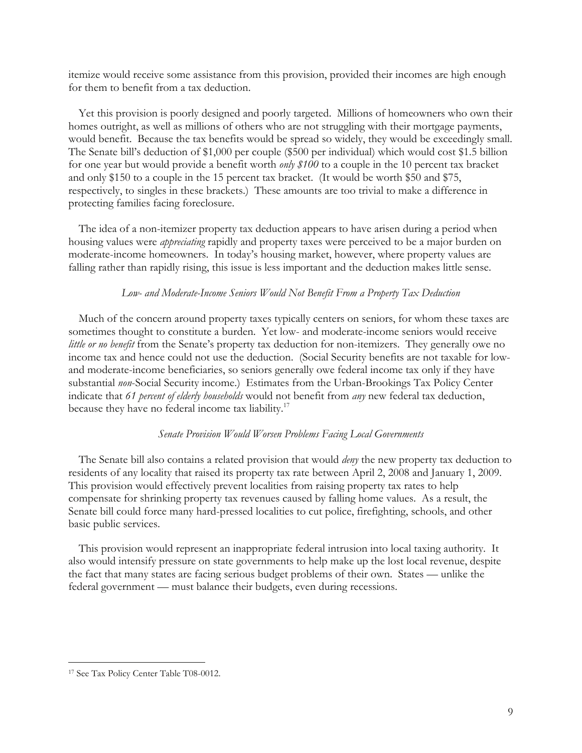itemize would receive some assistance from this provision, provided their incomes are high enough for them to benefit from a tax deduction.

 Yet this provision is poorly designed and poorly targeted. Millions of homeowners who own their homes outright, as well as millions of others who are not struggling with their mortgage payments, would benefit. Because the tax benefits would be spread so widely, they would be exceedingly small. The Senate bill's deduction of \$1,000 per couple (\$500 per individual) which would cost \$1.5 billion for one year but would provide a benefit worth *only \$100* to a couple in the 10 percent tax bracket and only \$150 to a couple in the 15 percent tax bracket. (It would be worth \$50 and \$75, respectively, to singles in these brackets.) These amounts are too trivial to make a difference in protecting families facing foreclosure.

 The idea of a non-itemizer property tax deduction appears to have arisen during a period when housing values were *appreciating* rapidly and property taxes were perceived to be a major burden on moderate-income homeowners. In today's housing market, however, where property values are falling rather than rapidly rising, this issue is less important and the deduction makes little sense.

## *Low- and Moderate-Income Seniors Would Not Benefit From a Property Tax Deduction*

 Much of the concern around property taxes typically centers on seniors, for whom these taxes are sometimes thought to constitute a burden. Yet low- and moderate-income seniors would receive *little or no benefit* from the Senate's property tax deduction for non-itemizers. They generally owe no income tax and hence could not use the deduction. (Social Security benefits are not taxable for lowand moderate-income beneficiaries, so seniors generally owe federal income tax only if they have substantial *non*-Social Security income.) Estimates from the Urban-Brookings Tax Policy Center indicate that *61 percent of elderly households* would not benefit from *any* new federal tax deduction, because they have no federal income tax liability.<sup>17</sup>

#### *Senate Provision Would Worsen Problems Facing Local Governments*

 The Senate bill also contains a related provision that would *deny* the new property tax deduction to residents of any locality that raised its property tax rate between April 2, 2008 and January 1, 2009. This provision would effectively prevent localities from raising property tax rates to help compensate for shrinking property tax revenues caused by falling home values. As a result, the Senate bill could force many hard-pressed localities to cut police, firefighting, schools, and other basic public services.

 This provision would represent an inappropriate federal intrusion into local taxing authority. It also would intensify pressure on state governments to help make up the lost local revenue, despite the fact that many states are facing serious budget problems of their own. States — unlike the federal government — must balance their budgets, even during recessions.

<sup>17</sup> See Tax Policy Center Table T08-0012.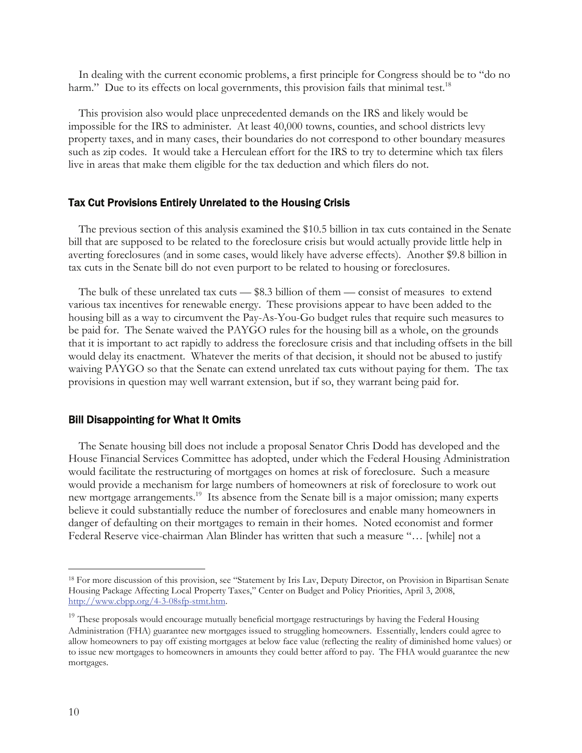In dealing with the current economic problems, a first principle for Congress should be to "do no harm." Due to its effects on local governments, this provision fails that minimal test.<sup>18</sup>

 This provision also would place unprecedented demands on the IRS and likely would be impossible for the IRS to administer. At least 40,000 towns, counties, and school districts levy property taxes, and in many cases, their boundaries do not correspond to other boundary measures such as zip codes. It would take a Herculean effort for the IRS to try to determine which tax filers live in areas that make them eligible for the tax deduction and which filers do not.

#### Tax Cut Provisions Entirely Unrelated to the Housing Crisis

 The previous section of this analysis examined the \$10.5 billion in tax cuts contained in the Senate bill that are supposed to be related to the foreclosure crisis but would actually provide little help in averting foreclosures (and in some cases, would likely have adverse effects). Another \$9.8 billion in tax cuts in the Senate bill do not even purport to be related to housing or foreclosures.

 The bulk of these unrelated tax cuts — \$8.3 billion of them — consist of measures to extend various tax incentives for renewable energy. These provisions appear to have been added to the housing bill as a way to circumvent the Pay-As-You-Go budget rules that require such measures to be paid for. The Senate waived the PAYGO rules for the housing bill as a whole, on the grounds that it is important to act rapidly to address the foreclosure crisis and that including offsets in the bill would delay its enactment. Whatever the merits of that decision, it should not be abused to justify waiving PAYGO so that the Senate can extend unrelated tax cuts without paying for them. The tax provisions in question may well warrant extension, but if so, they warrant being paid for.

#### Bill Disappointing for What It Omits

 The Senate housing bill does not include a proposal Senator Chris Dodd has developed and the House Financial Services Committee has adopted, under which the Federal Housing Administration would facilitate the restructuring of mortgages on homes at risk of foreclosure. Such a measure would provide a mechanism for large numbers of homeowners at risk of foreclosure to work out new mortgage arrangements.<sup>19</sup> Its absence from the Senate bill is a major omission; many experts believe it could substantially reduce the number of foreclosures and enable many homeowners in danger of defaulting on their mortgages to remain in their homes. Noted economist and former Federal Reserve vice-chairman Alan Blinder has written that such a measure "… [while] not a

-

<sup>18</sup> For more discussion of this provision, see "Statement by Iris Lav, Deputy Director, on Provision in Bipartisan Senate Housing Package Affecting Local Property Taxes," Center on Budget and Policy Priorities, April 3, 2008, http://www.cbpp.org/4-3-08sfp-stmt.htm.

<sup>&</sup>lt;sup>19</sup> These proposals would encourage mutually beneficial mortgage restructurings by having the Federal Housing Administration (FHA) guarantee new mortgages issued to struggling homeowners. Essentially, lenders could agree to allow homeowners to pay off existing mortgages at below face value (reflecting the reality of diminished home values) or to issue new mortgages to homeowners in amounts they could better afford to pay. The FHA would guarantee the new mortgages.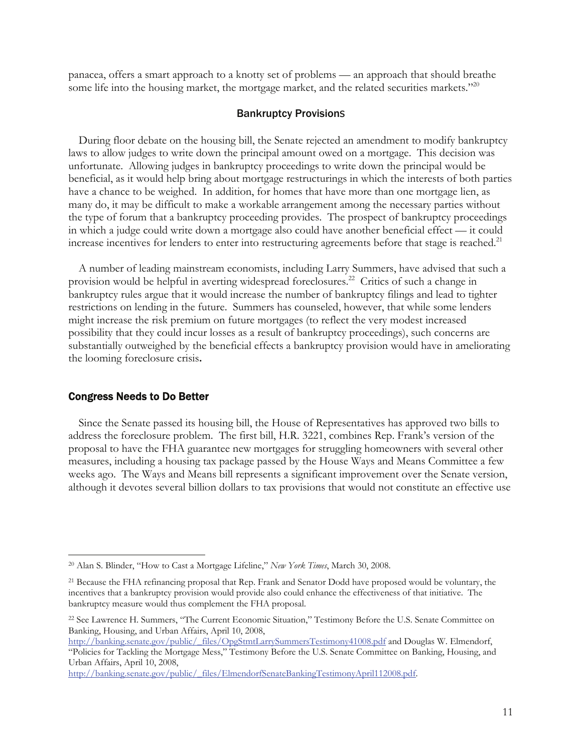panacea, offers a smart approach to a knotty set of problems — an approach that should breathe some life into the housing market, the mortgage market, and the related securities markets."<sup>20</sup>

# Bankruptcy Provisions

 During floor debate on the housing bill, the Senate rejected an amendment to modify bankruptcy laws to allow judges to write down the principal amount owed on a mortgage. This decision was unfortunate. Allowing judges in bankruptcy proceedings to write down the principal would be beneficial, as it would help bring about mortgage restructurings in which the interests of both parties have a chance to be weighed. In addition, for homes that have more than one mortgage lien, as many do, it may be difficult to make a workable arrangement among the necessary parties without the type of forum that a bankruptcy proceeding provides. The prospect of bankruptcy proceedings in which a judge could write down a mortgage also could have another beneficial effect — it could increase incentives for lenders to enter into restructuring agreements before that stage is reached.<sup>21</sup>

 A number of leading mainstream economists, including Larry Summers, have advised that such a provision would be helpful in averting widespread foreclosures.<sup>22</sup> Critics of such a change in bankruptcy rules argue that it would increase the number of bankruptcy filings and lead to tighter restrictions on lending in the future. Summers has counseled, however, that while some lenders might increase the risk premium on future mortgages (to reflect the very modest increased possibility that they could incur losses as a result of bankruptcy proceedings), such concerns are substantially outweighed by the beneficial effects a bankruptcy provision would have in ameliorating the looming foreclosure crisis**.**

## Congress Needs to Do Better

-

 Since the Senate passed its housing bill, the House of Representatives has approved two bills to address the foreclosure problem. The first bill, H.R. 3221, combines Rep. Frank's version of the proposal to have the FHA guarantee new mortgages for struggling homeowners with several other measures, including a housing tax package passed by the House Ways and Means Committee a few weeks ago. The Ways and Means bill represents a significant improvement over the Senate version, although it devotes several billion dollars to tax provisions that would not constitute an effective use

<sup>20</sup> Alan S. Blinder, "How to Cast a Mortgage Lifeline," *New York Times*, March 30, 2008.

<sup>&</sup>lt;sup>21</sup> Because the FHA refinancing proposal that Rep. Frank and Senator Dodd have proposed would be voluntary, the incentives that a bankruptcy provision would provide also could enhance the effectiveness of that initiative. The bankruptcy measure would thus complement the FHA proposal.

<sup>22</sup> See Lawrence H. Summers, "The Current Economic Situation," Testimony Before the U.S. Senate Committee on Banking, Housing, and Urban Affairs, April 10, 2008,

http://banking.senate.gov/public/\_files/OpgStmtLarrySummersTestimony41008.pdf and Douglas W. Elmendorf, "Policies for Tackling the Mortgage Mess," Testimony Before the U.S. Senate Committee on Banking, Housing, and Urban Affairs, April 10, 2008,

http://banking.senate.gov/public/\_files/ElmendorfSenateBankingTestimonyApril112008.pdf.